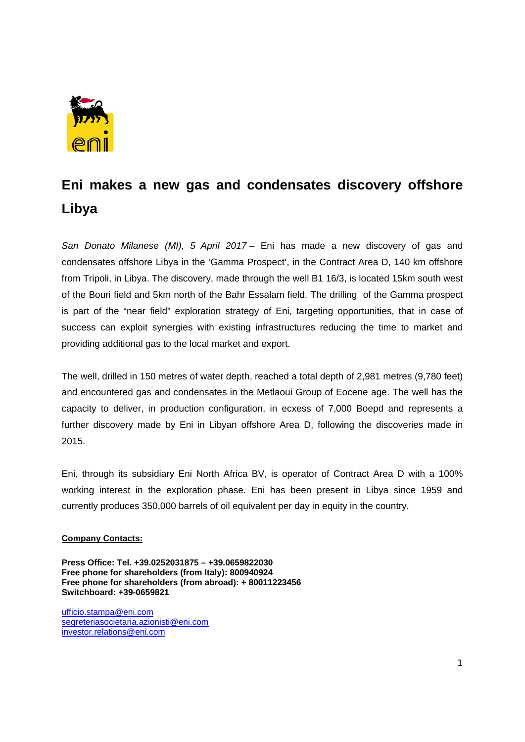

## **Eni makes a new gas and condensates discovery offshore Libya**

*San Donato Milanese (MI), 5 April 2017* – Eni has made a new discovery of gas and condensates offshore Libya in the 'Gamma Prospect', in the Contract Area D, 140 km offshore from Tripoli, in Libya. The discovery, made through the well B1 16/3, is located 15km south west of the Bouri field and 5km north of the Bahr Essalam field. The drilling of the Gamma prospect is part of the "near field" exploration strategy of Eni, targeting opportunities, that in case of success can exploit synergies with existing infrastructures reducing the time to market and providing additional gas to the local market and export.

The well, drilled in 150 metres of water depth, reached a total depth of 2,981 metres (9,780 feet) and encountered gas and condensates in the Metlaoui Group of Eocene age. The well has the capacity to deliver, in production configuration, in ecxess of 7,000 Boepd and represents a further discovery made by Eni in Libyan offshore Area D, following the discoveries made in 2015.

Eni, through its subsidiary Eni North Africa BV, is operator of Contract Area D with a 100% working interest in the exploration phase. Eni has been present in Libya since 1959 and currently produces 350,000 barrels of oil equivalent per day in equity in the country.

## **Company Contacts:**

**Press Office: Tel. +39.0252031875 – +39.0659822030 Free phone for shareholders (from Italy): 800940924 Free phone for shareholders (from abroad): + 80011223456 Switchboard: +39-0659821** 

ufficio.stampa@eni.com segreteriasocietaria.azionisti@eni.com investor.relations@eni.com